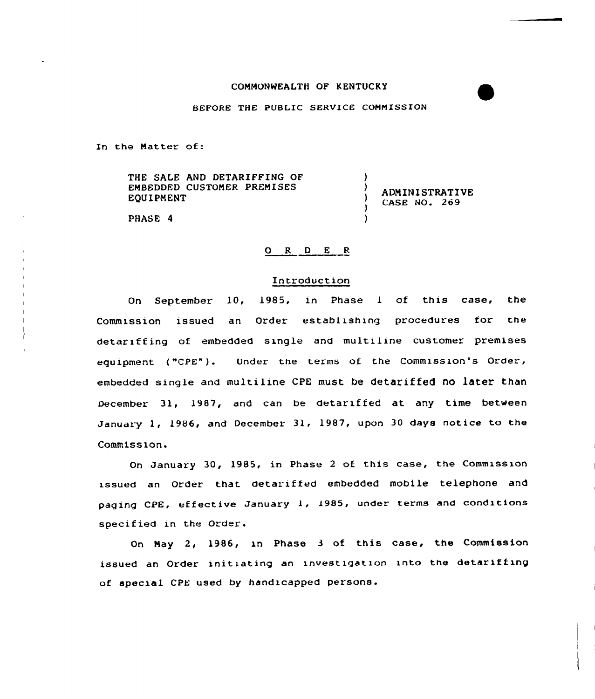# COMMONWEALTH OF KENTUCKY

### BEFORE THE PUBLIC SERVICE COMMISSION

In the Matter of:

THE SALE AND DETARIFFING OF EMBEDDED CUSTOMER PREMISES EQUIPNENT

**ADMINISTRATIVE** CASE NQ. 269

)

 $\lambda$  $\lambda$ 

)

PHASE 4

# 0 R <sup>D</sup> <sup>E</sup> <sup>R</sup>

## Introduction

On September 10, 1985, in Phase <sup>1</sup> of this case, the Commission issued an Order establishing procedures for the detariffing of embedded single and multiline customer premises equipment ("CPE"). Under the terms of the Commission's Order, embedded single and multiline CPE must be detariffed no later than December 31, 1987, and can be detariffed at any time between January 1, 1986, and December 31, 1987, upon <sup>30</sup> days notice to the Commission.

On January 30, 1985, in Phase <sup>2</sup> of this case, the Commission issued an Order that detariffed embedded mobile telephone and paging CPE, effective January 1, 1985, under terms and conditions specified in the Order.

On Nay 2, 1986, in Phase <sup>3</sup> of this case, the Commission issued an Order initiating an investigation into the detariffing of special CPE used by handicapped persons.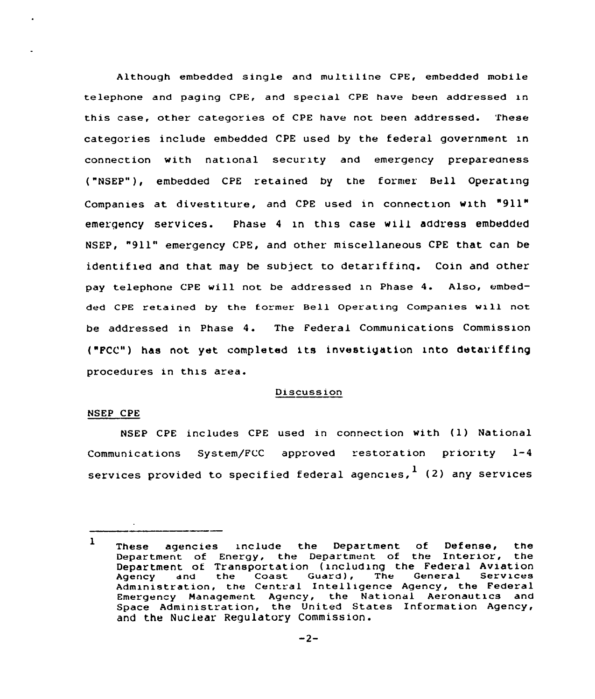Although embedded single and multiline CPE, embedded mobile telephone and paging CPE, and special CPE have been addressed in this case, other categories of CPE have not been addressed. These categories include embedded CPE used by the federal government in connection with national security and emergency preparedness ("NSEP"), embedded CPE retained by the former Bell Operating Companies at divestiture, and CPE used in connection with "911" emergency services. Phase 4 in this case will address embedded NSEP, "911" emergency CPE, and other miscellaneous CPE that can be identified and that may be subject to detariffing. Coin and other pay telephone CPE will not be addressed in Phase 4. Also, embedded CPE retained by the former Bell Operating Companies will not be addressed in Phase 4. The Federal Communications Commission ("Fcc") has not yet completed its investigation into detariffing procedures in this area.

#### Discussion

## NSEP CPE

NSEP CPE includes CPE used in connection with (1) National Communications System/FCC approved restoration priority 1-4 services provided to specified federal agencies,  $1$  (2) any services

 $\mathbf{1}$ These agencies include the Department of Defense, the Department of Energy, the Department of the Interior, the Department of Transportation (including the Federal Aviation Bepartment of framsportation (including the coast fluctual services Agency and the Coast Guard), The General Services<br>Administration, the Central Intelligence Agency, the Federal Emergency Management Agency, the National Aeronautics and Space Administration, the United States Information Agency, and the Nuclear Regulatory Commission.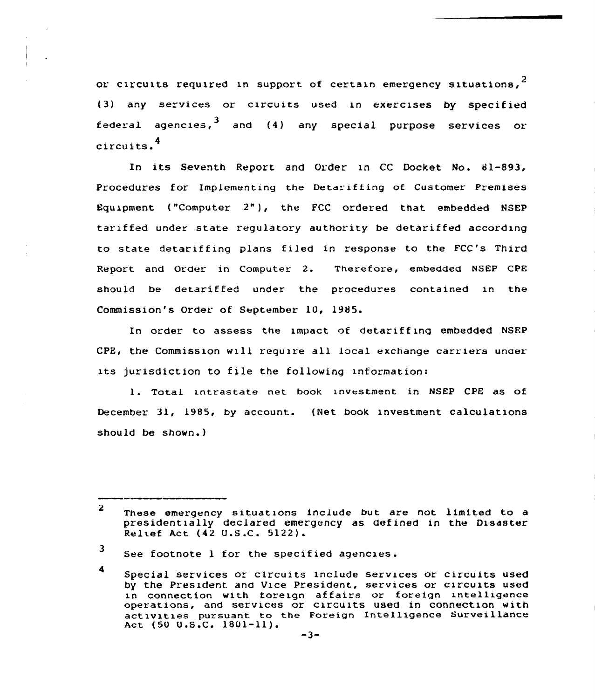or circuits required in support of certain emergency situations.<sup>2</sup> (3) any services or circuits used in exercises by specified federal agencies, $^{\mathbf{3}}$  and (4) any special purpose services or circuits.<sup>4</sup>

its Seventh Report and Order in CC Docket No. 81-893, Procedures for Implementing the Detarifiing of Customer Premises Equipment ("Computer 2"), the FCC ordered that embedded NSEP tariffed under state regulatory authority be detariffed according to state detariffing plans filed in response to the FCC's Third Report and Order in Computer 2. Therefore, embedded NSEP CPE should be detariffed under the procedures contained in the Commission's Order of September 10, 1985.

In order to assess the impact of detariffing embedded NSEP CPE, the Commission will require all local exchange carriers unaer its jurisdiction to file the following information:

1. Total intrastate net book investment in NSEP CPE as of December 31, l985, by account. (Net book investment calculations should be shown. )

 $\mathbf{2}$ These emergency situations include but are not limited to a presidentially declared emergency as defined in the Disaster Relief Act (42 U.S .C. 5122).

<sup>3</sup> See footnote <sup>1</sup> for the specified agencies.

<sup>4</sup> Special services or circuits include services or circuits used by the President and Vice President, services or circuits used in connection with foreign affairs or foreign intelligence operations, and services or circuits used in connection with activities pursuant to the Foreign Intelligence surveillance Act (50  $0.5.C. 1801-11$ ).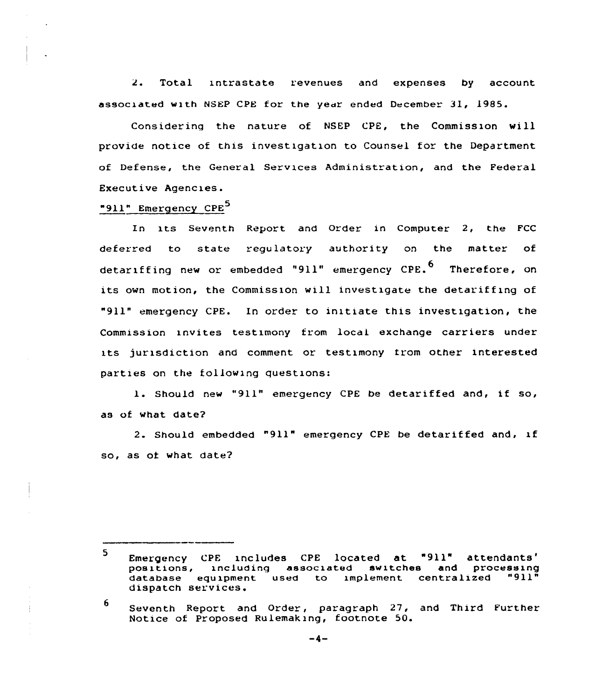$2.1$ Total intrastate revenues and expenses by account associated with NSEP CPE for the year ended December 31, 1985.

Considering the nature of NSEP CPE, the Commissxon will provide notice of this investigation to Counsel for the Department of Defense, the General Services Administration, and the Federal Executive Agencies.

"911" Emergency CPE<sup>5</sup>

In its Seventh Report and Order in Computer 2, the FCC deferred to state regulatory authority on the matter of detariffing new or embedded "911" emergency CPE.<sup>6</sup> Therefore, on its own motion, the Commission will investigate the detariffing of "911" emergency CPE. In order to initiate this investigation, the Commission invites testimony from local exchange carriers under its jurisdiction and comment or testimony from other interested parties on the following questions:

l. Should new "911" emergency CPE be detariffed and, if so, as of what date?

2. Should embedded "911" emergency CPE be detariffed and, xf so, as of what date?

<sup>5</sup> Emergency CPE includes CPE located at "911" attendants'<br>positions, including associated switches and processing Emergency CPE includes CPE located at "911" attendants'<br>positions, including associated switches and processing<br>database equipment used to implement centralized "911" database equipment used to implement centralized dispatch services.

<sup>6</sup> Seventh Report and Order, paragraph 27, and Third Further Notice of Proposed Rulemakzng, footnote 50.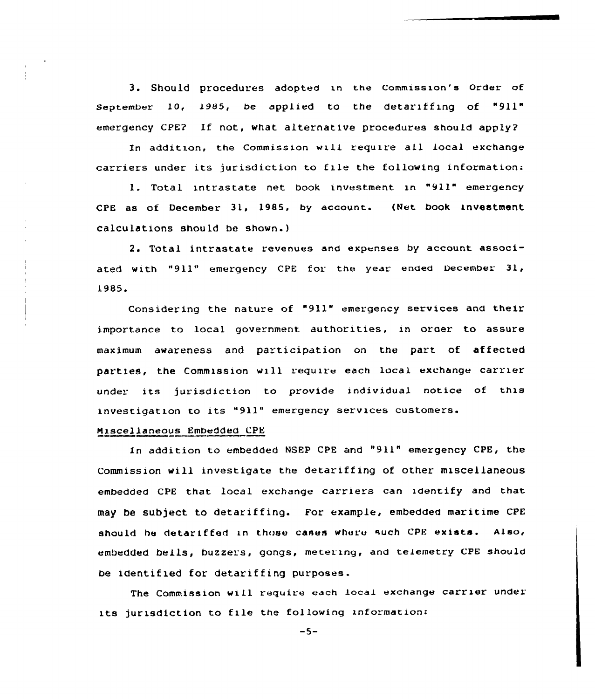3. Should procedures adopted in the Commission's Order of September 10, 1985, be applied to the detariffing of "911" emergency CPE? If not, what alternative pracedures should apply?

In addition, the Commission will require all local exchange carriers under its jurisdiction to file the following information:

l. Total intrastate net book investment in "911" emergency CPE as of December 31, 1985, by account. (Net book investment calculations should be shown.)

2. Total intrastate revenues and expenses by accaunt associated with "911" emergency CPE for the year ended December 31, L985.

Considering the nature of "911" emergency services and their importance to local government authorities, in order to assure maximum awareness and participation on the part of affected parties, the Commission will require each local exchange carrier under its jurisdiction to provide individual notice of this investigation to its "911" emergency services customers.

#### Miscellaneous Embedded CPE

ln additian to embedded NSEP CPE and "911" emergency CPE, the Commission will investigate the detariffing of other miscellaneous embedded CPE that local exchange carriers can identify and that may be Subject to detariffing. For example, embedded maritime CPE should be detariffed in those cases where such CPE exists. Also, embedded bells, buzzers, gongs, metering, and telemetry CPE should be identified for detariffing purposes.

The Commission wiL1 require each Local exchange carrier under its jurisdiction to file the following information:

 $-5-$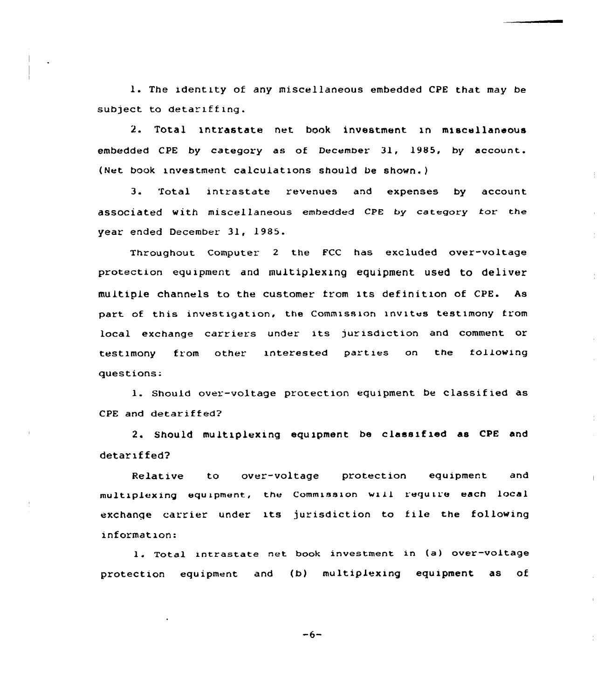l. The identity of any miscellaneous embedded CPE that may be subject to detariffing.

2. Total 1ntrastate net book investment in miscellaneous embedded CPE by category as of December 31, 1985, hy account. (Net book investment calculations should be shown.)

3. Total intrastate revenues and expenses by account associated with miscellaneous embedded CPE by category tor the year ended December 31, 1985.

Throughout Computer 2 the FCC has excluded over-voltage protection equipment and multiplexing equipment used to deliver multiple channels to the customer from its definition of CPE. As part of this investigation, the Commission invites testimony from local exchange carriers under its jurisdiction and comment or testimony from other interested parties on the following questions:

1. Should over-voltage protection equipment be classified as CPE and detariffed?

2. Should multiplexing equipment be classified as CPE and detariffed?

Relative to over-voltage protection equipment and multxplexing equipment, the Commxssxon wali require each local exchange carrier under its jurisdiction to file the following information:

1. Total intrastate net book investment in (a) over-voltage protection equipment and (b} multiplexing equipment as of

 $-6-$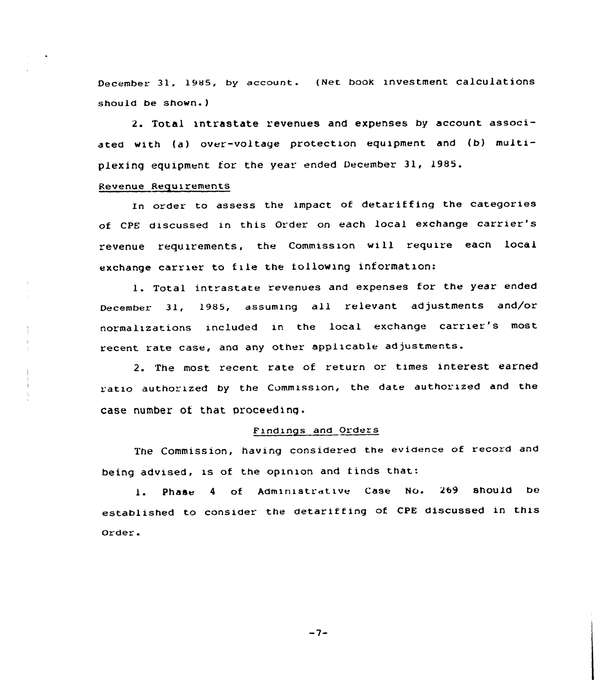December 31, 1985, by account. (Net book investment calculations should be shown.)

2. Total intrastate revenues and expenses by account associated with (a) over-voltage protection equipment and (b) multiplexing equipment for the year ended December 31, 19S5.

## Revenue Requirements

In order to assess the impact of detariffing the categories of CPE discussed in this Order on each local exchange carrier's revenue requirements, the Commission will require each local exchange carrier to file the following information:

1. Total intrastate revenues and expenses for the year ended December 31, 1985, assuming all relevant adjustments and/or normalizations included in the local exchange carrier's most recent rate case, and any other applicable ad justments.

2. The most recent rate of return or times interest earned ratio authorized by the Commission, the date authorized and the case number of that proceeding.

# Findings and Orders

The Commission, having considered the evidence of record and being advised, is of the opinion and tinds that:

l. Phase <sup>4</sup> of Administrative Case No. <sup>269</sup> should be established to consider the detariffing of cPE discussed in this order

 $-7-$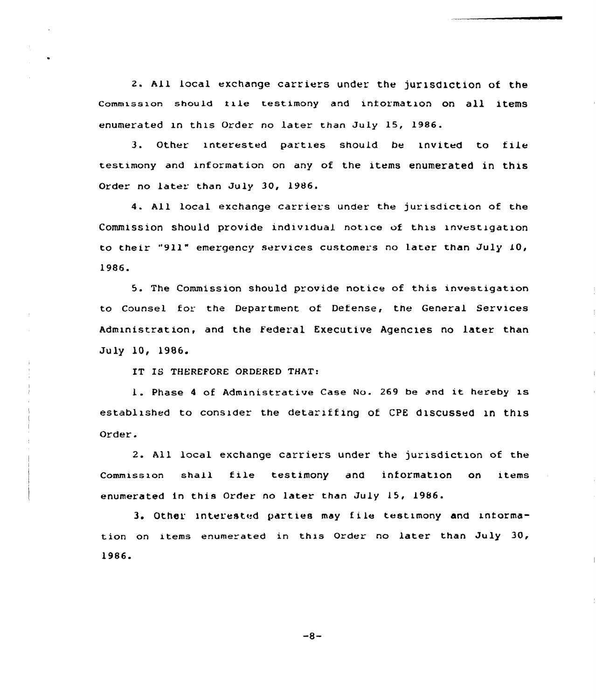2. All local exchange carriers under the jurisdiction of the Commission should tile testimony and iniormation on all items enumerated in this Order no later than July 15, 1986.

3. Other interested parties should be invited to file testimony and information on any of the items enumerated in this Order no later than July 30, 1986.

4. All local exchange carriers under the jurisdiction of the Commission should provide individual notice of this investigation to their "911" emergency services customers no later than July 10, 1986.

5. The Commission should provide notice of this investigation to Counsel for the Department of Defense, the General Services Administration, and the Federal Executive Agencies no later than July 10, 1986.

IT IS THEREFORE ORDERED THAT:

1. Phase <sup>4</sup> of Administrative Case No. <sup>269</sup> be and it hereby is established to consider the detariffing of CPE discussed in this Order.

2. All local exchange carriers under the jurisdiction of the Commission shall file testimony and information on items enumerated in this Order no later than July 15, 1986.

3. Other interested parties may f i1e testimony and intormation on items enumerated in this Order no later than July 30, 1986.

 $-8-$